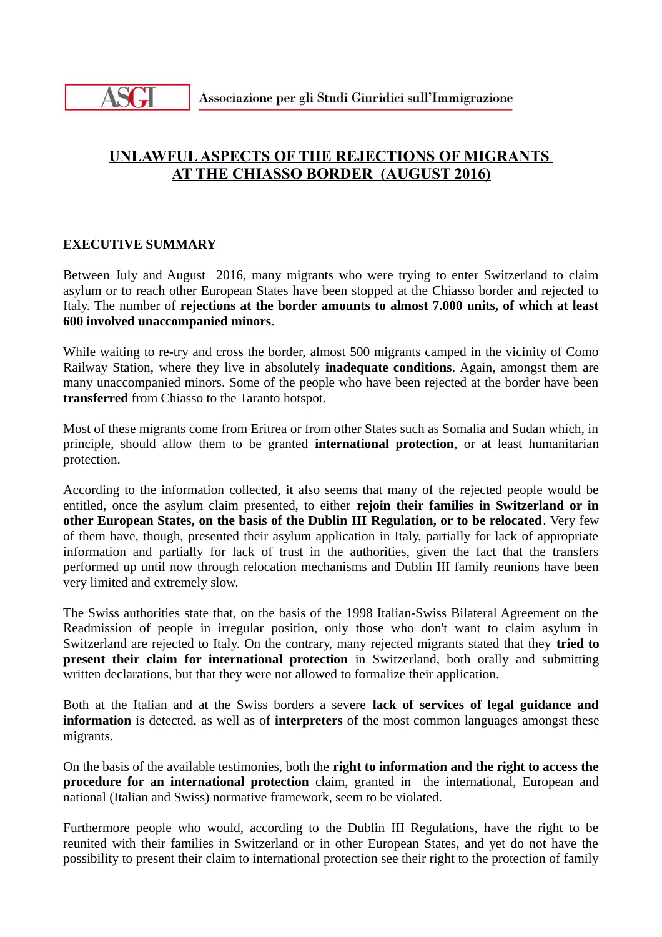

## **UNLAWFUL ASPECTS OF THE REJECTIONS OF MIGRANTS AT THE CHIASSO BORDER (AUGUST 2016)**

## **EXECUTIVE SUMMARY**

Between July and August 2016, many migrants who were trying to enter Switzerland to claim asylum or to reach other European States have been stopped at the Chiasso border and rejected to Italy. The number of **rejections at the border amounts to almost 7.000 units, of which at least 600 involved unaccompanied minors**.

While waiting to re-try and cross the border, almost 500 migrants camped in the vicinity of Como Railway Station, where they live in absolutely **inadequate conditions**. Again, amongst them are many unaccompanied minors. Some of the people who have been rejected at the border have been **transferred** from Chiasso to the Taranto hotspot.

Most of these migrants come from Eritrea or from other States such as Somalia and Sudan which, in principle, should allow them to be granted **international protection**, or at least humanitarian protection.

According to the information collected, it also seems that many of the rejected people would be entitled, once the asylum claim presented, to either **rejoin their families in Switzerland or in other European States, on the basis of the Dublin III Regulation, or to be relocated**. Very few of them have, though, presented their asylum application in Italy, partially for lack of appropriate information and partially for lack of trust in the authorities, given the fact that the transfers performed up until now through relocation mechanisms and Dublin III family reunions have been very limited and extremely slow.

The Swiss authorities state that, on the basis of the 1998 Italian-Swiss Bilateral Agreement on the Readmission of people in irregular position, only those who don't want to claim asylum in Switzerland are rejected to Italy. On the contrary, many rejected migrants stated that they **tried to present their claim for international protection** in Switzerland, both orally and submitting written declarations, but that they were not allowed to formalize their application.

Both at the Italian and at the Swiss borders a severe **lack of services of legal guidance and information** is detected, as well as of **interpreters** of the most common languages amongst these migrants.

On the basis of the available testimonies, both the **right to information and the right to access the procedure for an international protection** claim, granted in the international, European and national (Italian and Swiss) normative framework, seem to be violated.

Furthermore people who would, according to the Dublin III Regulations, have the right to be reunited with their families in Switzerland or in other European States, and yet do not have the possibility to present their claim to international protection see their right to the protection of family